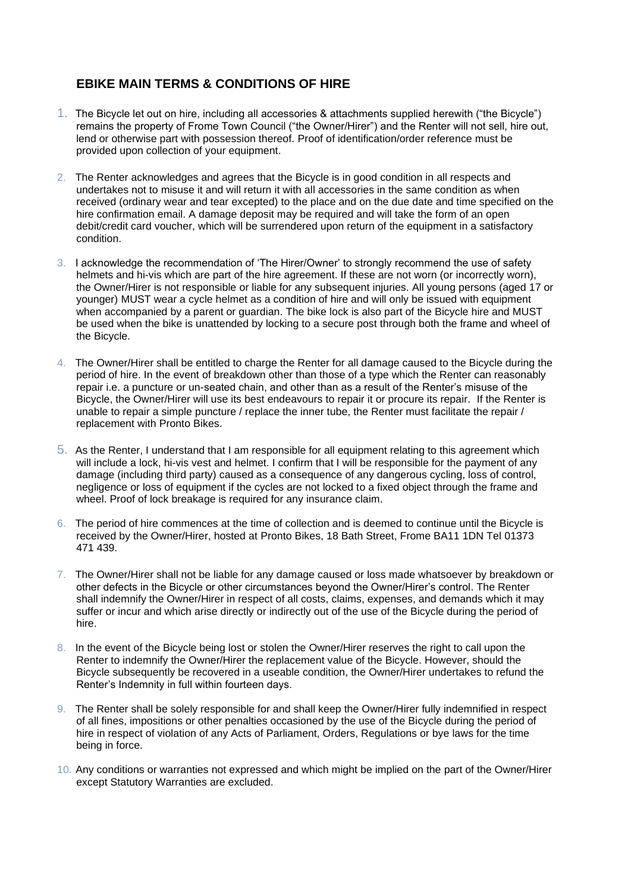# **EBIKE MAIN TERMS & CONDITIONS OF HIRE**

- 1. The Bicycle let out on hire, including all accessories & attachments supplied herewith ("the Bicycle") remains the property of Frome Town Council ("the Owner/Hirer") and the Renter will not sell, hire out, lend or otherwise part with possession thereof. Proof of identification/order reference must be provided upon collection of your equipment.
- 2. The Renter acknowledges and agrees that the Bicycle is in good condition in all respects and undertakes not to misuse it and will return it with all accessories in the same condition as when received (ordinary wear and tear excepted) to the place and on the due date and time specified on the hire confirmation email. A damage deposit may be required and will take the form of an open debit/credit card voucher, which will be surrendered upon return of the equipment in a satisfactory condition.
- 3. I acknowledge the recommendation of 'The Hirer/Owner' to strongly recommend the use of safety helmets and hi-vis which are part of the hire agreement. If these are not worn (or incorrectly worn), the Owner/Hirer is not responsible or liable for any subsequent injuries. All young persons (aged 17 or younger) MUST wear a cycle helmet as a condition of hire and will only be issued with equipment when accompanied by a parent or guardian. The bike lock is also part of the Bicycle hire and MUST be used when the bike is unattended by locking to a secure post through both the frame and wheel of the Bicycle.
- 4. The Owner/Hirer shall be entitled to charge the Renter for all damage caused to the Bicycle during the period of hire. In the event of breakdown other than those of a type which the Renter can reasonably repair i.e. a puncture or un-seated chain, and other than as a result of the Renter's misuse of the Bicycle, the Owner/Hirer will use its best endeavours to repair it or procure its repair. If the Renter is unable to repair a simple puncture / replace the inner tube, the Renter must facilitate the repair / replacement with Pronto Bikes.
- 5. As the Renter, I understand that I am responsible for all equipment relating to this agreement which will include a lock, hi-vis vest and helmet. I confirm that I will be responsible for the payment of any damage (including third party) caused as a consequence of any dangerous cycling, loss of control, negligence or loss of equipment if the cycles are not locked to a fixed object through the frame and wheel. Proof of lock breakage is required for any insurance claim.
- 6. The period of hire commences at the time of collection and is deemed to continue until the Bicycle is received by the Owner/Hirer, hosted at Pronto Bikes, 18 Bath Street, Frome BA11 1DN Tel 01373 471 439.
- 7. The Owner/Hirer shall not be liable for any damage caused or loss made whatsoever by breakdown or other defects in the Bicycle or other circumstances beyond the Owner/Hirer's control. The Renter shall indemnify the Owner/Hirer in respect of all costs, claims, expenses, and demands which it may suffer or incur and which arise directly or indirectly out of the use of the Bicycle during the period of hire.
- 8. In the event of the Bicycle being lost or stolen the Owner/Hirer reserves the right to call upon the Renter to indemnify the Owner/Hirer the replacement value of the Bicycle. However, should the Bicycle subsequently be recovered in a useable condition, the Owner/Hirer undertakes to refund the Renter's Indemnity in full within fourteen days.
- 9. The Renter shall be solely responsible for and shall keep the Owner/Hirer fully indemnified in respect of all fines, impositions or other penalties occasioned by the use of the Bicycle during the period of hire in respect of violation of any Acts of Parliament, Orders, Regulations or bye laws for the time being in force.
- 10. Any conditions or warranties not expressed and which might be implied on the part of the Owner/Hirer except Statutory Warranties are excluded.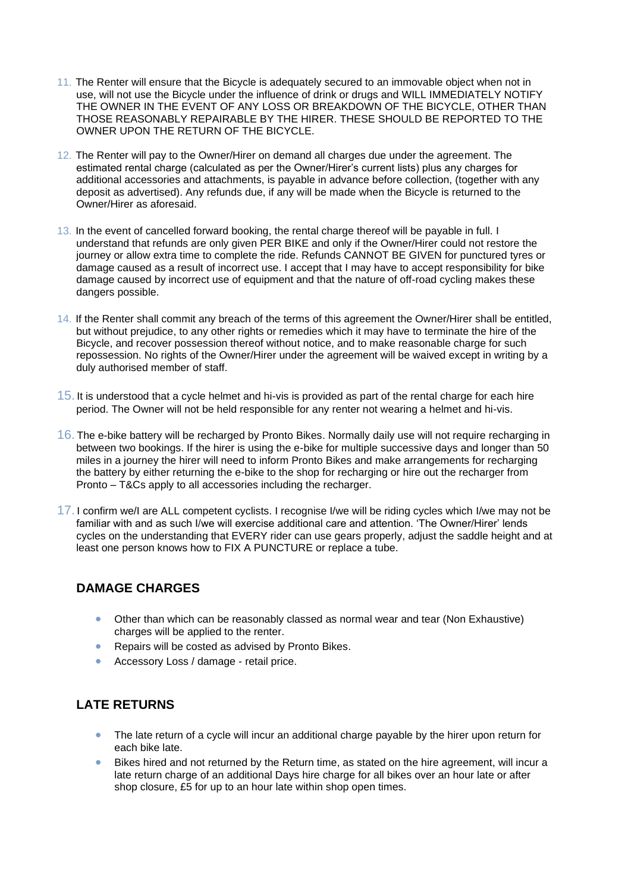- 11. The Renter will ensure that the Bicycle is adequately secured to an immovable object when not in use, will not use the Bicycle under the influence of drink or drugs and WILL IMMEDIATELY NOTIFY THE OWNER IN THE EVENT OF ANY LOSS OR BREAKDOWN OF THE BICYCLE, OTHER THAN THOSE REASONABLY REPAIRABLE BY THE HIRER. THESE SHOULD BE REPORTED TO THE OWNER UPON THE RETURN OF THE BICYCLE.
- 12. The Renter will pay to the Owner/Hirer on demand all charges due under the agreement. The estimated rental charge (calculated as per the Owner/Hirer's current lists) plus any charges for additional accessories and attachments, is payable in advance before collection, (together with any deposit as advertised). Any refunds due, if any will be made when the Bicycle is returned to the Owner/Hirer as aforesaid.
- 13. In the event of cancelled forward booking, the rental charge thereof will be payable in full. I understand that refunds are only given PER BIKE and only if the Owner/Hirer could not restore the journey or allow extra time to complete the ride. Refunds CANNOT BE GIVEN for punctured tyres or damage caused as a result of incorrect use. I accept that I may have to accept responsibility for bike damage caused by incorrect use of equipment and that the nature of off-road cycling makes these dangers possible.
- 14. If the Renter shall commit any breach of the terms of this agreement the Owner/Hirer shall be entitled, but without prejudice, to any other rights or remedies which it may have to terminate the hire of the Bicycle, and recover possession thereof without notice, and to make reasonable charge for such repossession. No rights of the Owner/Hirer under the agreement will be waived except in writing by a duly authorised member of staff.
- 15. It is understood that a cycle helmet and hi-vis is provided as part of the rental charge for each hire period. The Owner will not be held responsible for any renter not wearing a helmet and hi-vis.
- 16. The e-bike battery will be recharged by Pronto Bikes. Normally daily use will not require recharging in between two bookings. If the hirer is using the e-bike for multiple successive days and longer than 50 miles in a journey the hirer will need to inform Pronto Bikes and make arrangements for recharging the battery by either returning the e-bike to the shop for recharging or hire out the recharger from Pronto – T&Cs apply to all accessories including the recharger.
- 17. I confirm we/I are ALL competent cyclists. I recognise I/we will be riding cycles which I/we may not be familiar with and as such I/we will exercise additional care and attention. 'The Owner/Hirer' lends cycles on the understanding that EVERY rider can use gears properly, adjust the saddle height and at least one person knows how to FIX A PUNCTURE or replace a tube.

#### **DAMAGE CHARGES**

- Other than which can be reasonably classed as normal wear and tear (Non Exhaustive) charges will be applied to the renter.
- Repairs will be costed as advised by Pronto Bikes.
- Accessory Loss / damage retail price.

#### **LATE RETURNS**

- The late return of a cycle will incur an additional charge payable by the hirer upon return for each bike late.
- Bikes hired and not returned by the Return time, as stated on the hire agreement, will incur a late return charge of an additional Days hire charge for all bikes over an hour late or after shop closure, £5 for up to an hour late within shop open times.